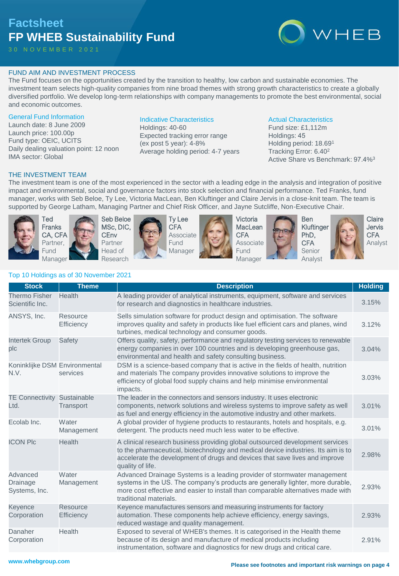# **Factsheet FP WHEB Sustainability Fund**

3 0 N O V E M B E R 2 0 2 1



# FUND AIM AND INVESTMENT PROCESS

The Fund focuses on the opportunities created by the transition to healthy, low carbon and sustainable economies. The investment team selects high-quality companies from nine broad themes with strong growth characteristics to create a globally diversified portfolio. We develop long-term relationships with company managements to promote the best environmental, social and economic outcomes.

#### General Fund Information

Launch date: 8 June 2009 Launch price: 100.00p Fund type: OEIC, UCITS Daily dealing valuation point: 12 noon IMA sector: Global

# Indicative Characteristics

Holdings: 40-60 Expected tracking error range (ex post 5 year): 4-8% Average holding period: 4-7 years

#### Actual Characteristics

Fund size: £1,112m Holdings: 45 Holding period: 18.69<sup>1</sup> Tracking Error: 6.40<sup>2</sup> Active Share vs Benchmark: 97.4%<sup>3</sup>

## THE INVESTMENT TEAM

The investment team is one of the most experienced in the sector with a leading edge in the analysis and integration of positive impact and environmental, social and governance factors into stock selection and financial performance. Ted Franks, fund manager, works with Seb Beloe, Ty Lee, Victoria MacLean, Ben Kluftinger and Claire Jervis in a close-knit team. The team is supported by George Latham, Managing Partner and Chief Risk Officer, and Jayne Sutcliffe, Non-Executive Chair.



Ted Franks CA, CFA Partner, Fund Manager





Ty Lee **CFA** Associate Fund Manager



Victoria **MacLean CFA** Associate **Fund** Manager



Ben PhD, **CFA** 



**Claire** Jervis CFA Analyst

# Top 10 Holdings as of 30 November 2021

| <b>Stock</b>                            | <b>Theme</b>                         | <b>Description</b>                                                                                                                                                                                                                                                       | <b>Holding</b> |
|-----------------------------------------|--------------------------------------|--------------------------------------------------------------------------------------------------------------------------------------------------------------------------------------------------------------------------------------------------------------------------|----------------|
| <b>Thermo Fisher</b><br>Scientific Inc. | Health                               | A leading provider of analytical instruments, equipment, software and services<br>for research and diagnostics in healthcare industries.                                                                                                                                 | 3.15%          |
| ANSYS, Inc.                             | Resource<br>Efficiency               | Sells simulation software for product design and optimisation. The software<br>improves quality and safety in products like fuel efficient cars and planes, wind<br>turbines, medical technology and consumer goods.                                                     | 3.12%          |
| <b>Intertek Group</b><br>plc            | Safety                               | Offers quality, safety, performance and regulatory testing services to renewable<br>energy companies in over 100 countries and is developing greenhouse gas,<br>environmental and health and safety consulting business.                                                 | 3.04%          |
| Koninklijke DSM Environmental<br>N.V.   | services                             | DSM is a science-based company that is active in the fields of health, nutrition<br>and materials The company provides innovative solutions to improve the<br>efficiency of global food supply chains and help minimise environmental<br>impacts.                        | 3.03%          |
| <b>TE Connectivity</b><br>Ltd.          | Sustainable<br>Transport             | The leader in the connectors and sensors industry. It uses electronic<br>components, network solutions and wireless systems to improve safety as well<br>as fuel and energy efficiency in the automotive industry and other markets.                                     | 3.01%          |
| Ecolab Inc.                             | Water<br>Management                  | A global provider of hygiene products to restaurants, hotels and hospitals, e.g.<br>detergent. The products need much less water to be effective.                                                                                                                        | 3.01%          |
| <b>ICON PIc</b>                         | Health                               | A clinical research business providing global outsourced development services<br>to the pharmaceutical, biotechnology and medical device industries. Its aim is to<br>accelerate the development of drugs and devices that save lives and improve<br>quality of life.    | 2.98%          |
| Advanced<br>Drainage<br>Systems, Inc.   | Water<br>Management                  | Advanced Drainage Systems is a leading provider of stormwater management<br>systems in the US. The company's products are generally lighter, more durable,<br>more cost effective and easier to install than comparable alternatives made with<br>traditional materials. | 2.93%          |
| Keyence<br>Corporation                  | <b>Resource</b><br><b>Efficiency</b> | Keyence manufactures sensors and measuring instruments for factory<br>automation. These components help achieve efficiency, energy savings,<br>reduced wastage and quality management.                                                                                   | 2.93%          |
| Danaher<br>Corporation                  | Health                               | Exposed to several of WHEB's themes. It is categorised in the Health theme<br>because of its design and manufacture of medical products including<br>instrumentation, software and diagnostics for new drugs and critical care.                                          | 2.91%          |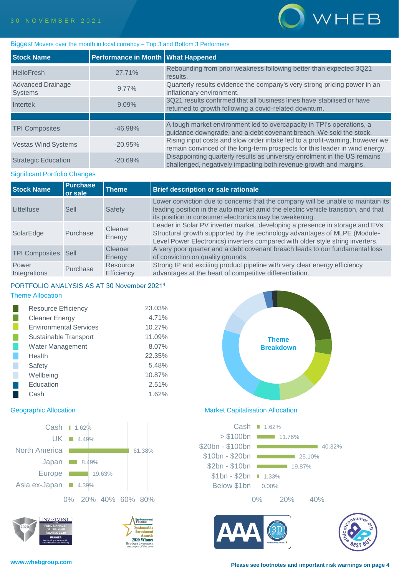

#### Biggest Movers over the month in local currency – Top 3 and Bottom 3 Performers

| <b>Stock Name</b>                          | Performance in Month   What Happened |                                                                                                                                                             |
|--------------------------------------------|--------------------------------------|-------------------------------------------------------------------------------------------------------------------------------------------------------------|
| <b>HelloFresh</b>                          | 27.71%                               | Rebounding from prior weakness following better than expected 3Q21<br>results.                                                                              |
| <b>Advanced Drainage</b><br><b>Systems</b> | $9.77\%$                             | Quarterly results evidence the company's very strong pricing power in an<br>inflationary environment.                                                       |
| Intertek                                   | 9.09%                                | 3Q21 results confirmed that all business lines have stabilised or have<br>returned to growth following a covid-related downturn.                            |
|                                            |                                      |                                                                                                                                                             |
| <b>TPI Composites</b>                      | $-46.98%$                            | A tough market environment led to overcapacity in TPI's operations, a<br>guidance downgrade, and a debt covenant breach. We sold the stock.                 |
| <b>Vestas Wind Systems</b>                 | $-20.95%$                            | Rising input costs and slow order intake led to a profit-warning, however we<br>remain convinced of the long-term prospects for this leader in wind energy. |
| <b>Strategic Education</b>                 | $-20.69%$                            | Disappointing quarterly results as university enrolment in the US remains<br>challenged, negatively impacting both revenue growth and margins.              |

#### Significant Portfolio Changes

| <b>Stock Name</b>     | <b>Purchase</b><br>or sale | <b>Theme</b>                  | <b>Brief description or sale rationale</b>                                                                                                                                                                                                   |
|-----------------------|----------------------------|-------------------------------|----------------------------------------------------------------------------------------------------------------------------------------------------------------------------------------------------------------------------------------------|
| Littelfuse            | Sell                       | Safety                        | Lower conviction due to concerns that the company will be unable to maintain its<br>leading position in the auto market amid the electric vehicle transition, and that<br>its position in consumer electronics may be weakening.             |
| SolarEdge             | Purchase                   | Cleaner<br>Energy             | Leader in Solar PV inverter market, developing a presence in storage and EVs.<br>Structural growth supported by the technology advantages of MLPE (Module-<br>Level Power Electronics) inverters compared with older style string inverters. |
| <b>TPI Composites</b> | Sell                       | Cleaner<br>Energy             | A very poor quarter and a debt covenant breach leads to our fundamental loss<br>of conviction on quality grounds.                                                                                                                            |
| Power<br>Integrations | Purchase                   | Resource<br><b>Efficiency</b> | Strong IP and exciting product pipeline with very clear energy efficiency<br>advantages at the heart of competitive differentiation.                                                                                                         |

# PORTFOLIO ANALYSIS AS AT 30 November 2021<sup>4</sup>

## Theme Allocation

| <b>Resource Efficiency</b>    | 23.03% |
|-------------------------------|--------|
| <b>Cleaner Energy</b>         | 4.71%  |
| <b>Environmental Services</b> | 10.27% |
| Sustainable Transport         | 11.09% |
| <b>Water Management</b>       | 8.07%  |
| Health                        | 22.35% |
| Safety                        | 5.48%  |
| Wellbeing                     | 10.87% |
| Education                     | 2.51%  |
| Cash                          | 1.62%  |















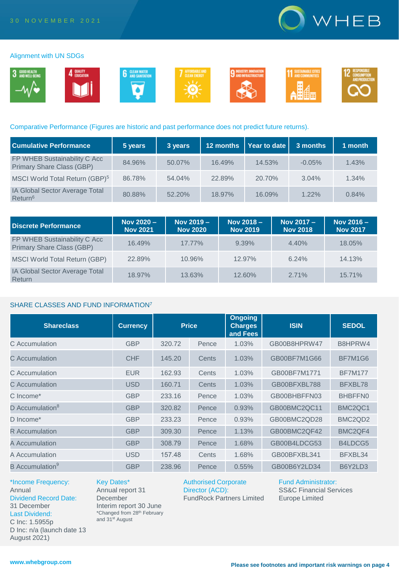

#### Alignment with UN SDGs



#### Comparative Performance (Figures are historic and past performance does not predict future returns).

| <b>Cumulative Performance</b>                             | 5 years | 3 years | 12 months | $\vert$ Year to date $\vert$ | 3 months | 1 month |
|-----------------------------------------------------------|---------|---------|-----------|------------------------------|----------|---------|
| FP WHEB Sustainability C Acc<br>Primary Share Class (GBP) | 84.96%  | 50.07%  | 16.49%    | 14.53%                       | $-0.05%$ | 1.43%   |
| MSCI World Total Return (GBP) <sup>5</sup>                | 86.78%  | 54.04%  | 22.89%    | 20.70%                       | 3.04%    | 1.34%   |
| IA Global Sector Average Total<br>Return <sup>6</sup>     | 80.88%  | 52.20%  | 18.97%    | 16.09%                       | $1.22\%$ | 0.84%   |

| Discrete Performance                                             | Nov 2020 -<br><b>Nov 2021</b> | Nov 2019 -<br><b>Nov 2020</b> | Nov $2018 -$<br><b>Nov 2019</b> | Nov 2017 -<br><b>Nov 2018</b> | Nov $2016 -$<br>Nov 2017 |
|------------------------------------------------------------------|-------------------------------|-------------------------------|---------------------------------|-------------------------------|--------------------------|
| FP WHEB Sustainability C Acc<br><b>Primary Share Class (GBP)</b> | 16.49%                        | $17.77\%$                     | 9.39%                           | 4.40%                         | 18.05%                   |
| MSCI World Total Return (GBP)                                    | 22.89%                        | 10.96%                        | $12.97\%$                       | 6.24%                         | 14.13%                   |
| IA Global Sector Average Total<br>Return                         | 18.97%                        | 13.63%                        | 12.60%                          | 2.71%                         | 15.71%                   |

#### SHARE CLASSES AND FUND INFORMATION<sup>7</sup>

| <b>Shareclass</b>           | <b>Currency</b> | <b>Price</b> |       | <b>Ongoing</b><br><b>Charges</b><br>and Fees | <b>ISIN</b>  | <b>SEDOL</b>                     |
|-----------------------------|-----------------|--------------|-------|----------------------------------------------|--------------|----------------------------------|
| C Accumulation              | <b>GBP</b>      | 320.72       | Pence | 1.03%                                        | GB00B8HPRW47 | B8HPRW4                          |
| C Accumulation              | <b>CHF</b>      | 145.20       | Cents | 1.03%                                        | GB00BF7M1G66 | BF7M1G6                          |
| C. Accumulation             | <b>EUR</b>      | 162.93       | Cents | 1.03%                                        | GB00BF7M1771 | <b>BF7M177</b>                   |
| C Accumulation              | <b>USD</b>      | 160.71       | Cents | 1.03%                                        | GB00BFXBL788 | BFXBL78                          |
| C Income*                   | <b>GBP</b>      | 233.16       | Pence | 1.03%                                        | GB00BHBFFN03 | BHBFFN0                          |
| D Accumulation <sup>8</sup> | <b>GBP</b>      | 320.82       | Pence | 0.93%                                        | GB00BMC2QC11 | BMC <sub>2</sub> QC <sub>1</sub> |
| D Income*                   | <b>GBP</b>      | 233.23       | Pence | 0.93%                                        | GB00BMC2QD28 | BMC <sub>2</sub> Q <sub>D2</sub> |
| <b>R</b> Accumulation       | <b>GBP</b>      | 309.30       | Pence | 1.13%                                        | GB00BMC2QF42 | BMC <sub>2</sub> QF4             |
| A Accumulation              | <b>GBP</b>      | 308.79       | Pence | 1.68%                                        | GB00B4LDCG53 | B4LDCG5                          |
| A Accumulation              | <b>USD</b>      | 157.48       | Cents | 1.68%                                        | GB00BFXBL341 | BFXBL34                          |
| B Accumulation <sup>9</sup> | <b>GBP</b>      | 238.96       | Pence | 0.55%                                        | GB00B6Y2LD34 | B6Y2LD3                          |

\*Income Frequency: Annual Dividend Record Date: 31 December Last Dividend: C Inc: 1.5955p D Inc: n/a (launch date 13 August 2021)

Key Dates\* Annual report 31 **December** Interim report 30 June

and 31<sup>st</sup> August

\*Changed from 28th February

Authorised Corporate Director (ACD): FundRock Partners Limited Fund Administrator: SS&C Financial Services Europe Limited